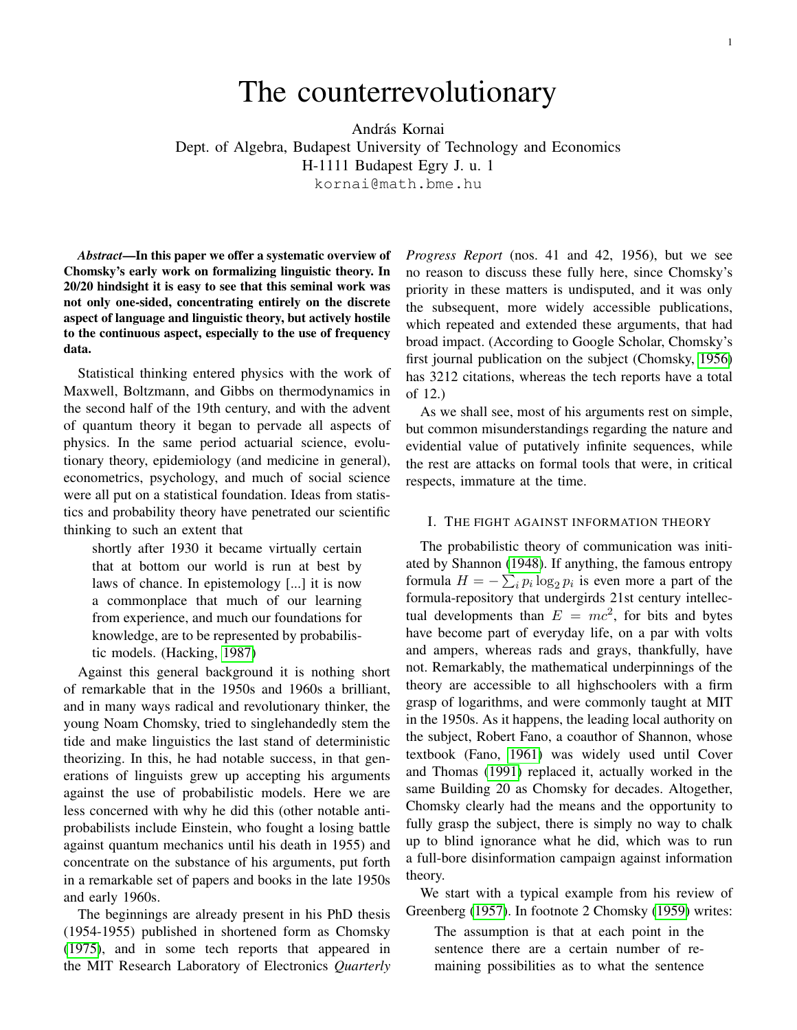# The counterrevolutionary

András Kornai Dept. of Algebra, Budapest University of Technology and Economics H-1111 Budapest Egry J. u. 1

kornai@math.bme.hu

*Abstract*—In this paper we offer a systematic overview of Chomsky's early work on formalizing linguistic theory. In 20/20 hindsight it is easy to see that this seminal work was not only one-sided, concentrating entirely on the discrete aspect of language and linguistic theory, but actively hostile to the continuous aspect, especially to the use of frequency data.

Statistical thinking entered physics with the work of Maxwell, Boltzmann, and Gibbs on thermodynamics in the second half of the 19th century, and with the advent of quantum theory it began to pervade all aspects of physics. In the same period actuarial science, evolutionary theory, epidemiology (and medicine in general), econometrics, psychology, and much of social science were all put on a statistical foundation. Ideas from statistics and probability theory have penetrated our scientific thinking to such an extent that

shortly after 1930 it became virtually certain that at bottom our world is run at best by laws of chance. In epistemology [...] it is now a commonplace that much of our learning from experience, and much our foundations for knowledge, are to be represented by probabilistic models. (Hacking, [1987\)](#page-3-0)

Against this general background it is nothing short of remarkable that in the 1950s and 1960s a brilliant, and in many ways radical and revolutionary thinker, the young Noam Chomsky, tried to singlehandedly stem the tide and make linguistics the last stand of deterministic theorizing. In this, he had notable success, in that generations of linguists grew up accepting his arguments against the use of probabilistic models. Here we are less concerned with why he did this (other notable antiprobabilists include Einstein, who fought a losing battle against quantum mechanics until his death in 1955) and concentrate on the substance of his arguments, put forth in a remarkable set of papers and books in the late 1950s and early 1960s.

The beginnings are already present in his PhD thesis (1954-1955) published in shortened form as Chomsky [\(1975\)](#page-3-1), and in some tech reports that appeared in the MIT Research Laboratory of Electronics *Quarterly* *Progress Report* (nos. 41 and 42, 1956), but we see no reason to discuss these fully here, since Chomsky's priority in these matters is undisputed, and it was only the subsequent, more widely accessible publications, which repeated and extended these arguments, that had broad impact. (According to Google Scholar, Chomsky's first journal publication on the subject (Chomsky, [1956\)](#page-3-2) has 3212 citations, whereas the tech reports have a total of 12.)

As we shall see, most of his arguments rest on simple, but common misunderstandings regarding the nature and evidential value of putatively infinite sequences, while the rest are attacks on formal tools that were, in critical respects, immature at the time.

## I. THE FIGHT AGAINST INFORMATION THEORY

The probabilistic theory of communication was initiated by Shannon [\(1948\)](#page-4-0). If anything, the famous entropy formula  $H = -\sum_i p_i \log_2 p_i$  is even more a part of the formula-repository that undergirds 21st century intellectual developments than  $E = mc^2$ , for bits and bytes have become part of everyday life, on a par with volts and ampers, whereas rads and grays, thankfully, have not. Remarkably, the mathematical underpinnings of the theory are accessible to all highschoolers with a firm grasp of logarithms, and were commonly taught at MIT in the 1950s. As it happens, the leading local authority on the subject, Robert Fano, a coauthor of Shannon, whose textbook (Fano, [1961\)](#page-3-3) was widely used until Cover and Thomas [\(1991\)](#page-3-4) replaced it, actually worked in the same Building 20 as Chomsky for decades. Altogether, Chomsky clearly had the means and the opportunity to fully grasp the subject, there is simply no way to chalk up to blind ignorance what he did, which was to run a full-bore disinformation campaign against information theory.

We start with a typical example from his review of Greenberg [\(1957\)](#page-3-5). In footnote 2 Chomsky [\(1959\)](#page-3-6) writes:

The assumption is that at each point in the sentence there are a certain number of remaining possibilities as to what the sentence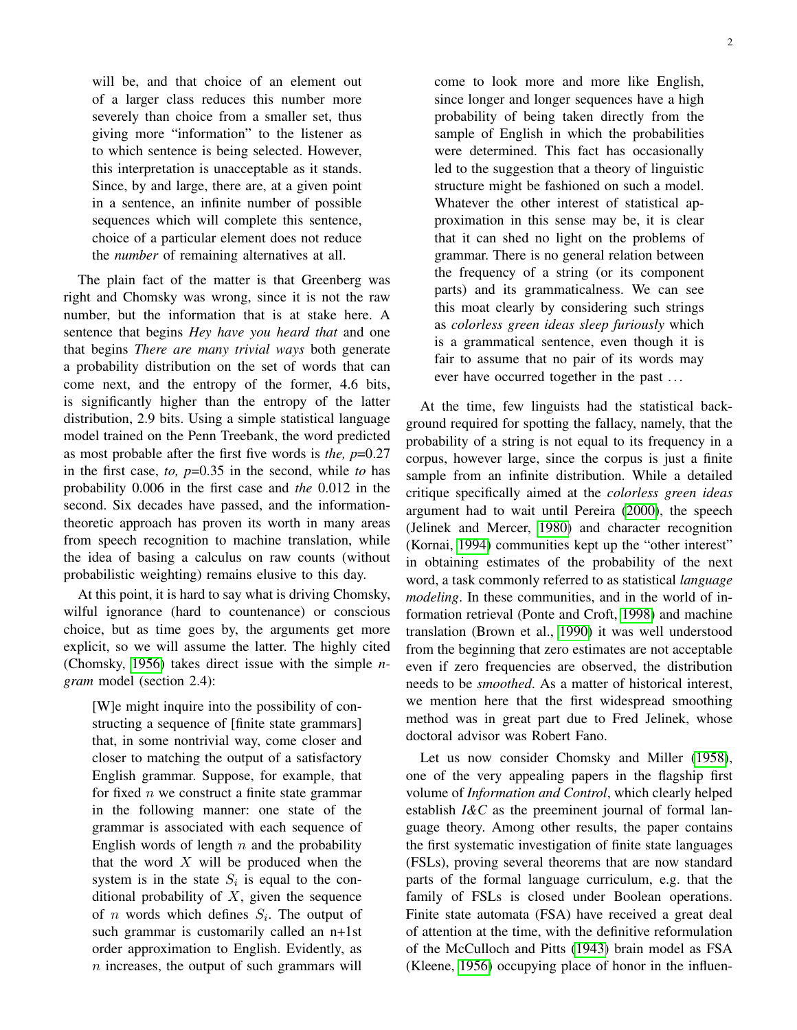will be, and that choice of an element out of a larger class reduces this number more severely than choice from a smaller set, thus giving more "information" to the listener as to which sentence is being selected. However, this interpretation is unacceptable as it stands. Since, by and large, there are, at a given point in a sentence, an infinite number of possible sequences which will complete this sentence, choice of a particular element does not reduce the *number* of remaining alternatives at all.

The plain fact of the matter is that Greenberg was right and Chomsky was wrong, since it is not the raw number, but the information that is at stake here. A sentence that begins *Hey have you heard that* and one that begins *There are many trivial ways* both generate a probability distribution on the set of words that can come next, and the entropy of the former, 4.6 bits, is significantly higher than the entropy of the latter distribution, 2.9 bits. Using a simple statistical language model trained on the Penn Treebank, the word predicted as most probable after the first five words is *the, p*=0.27 in the first case, *to, p*=0.35 in the second, while *to* has probability 0.006 in the first case and *the* 0.012 in the second. Six decades have passed, and the informationtheoretic approach has proven its worth in many areas from speech recognition to machine translation, while the idea of basing a calculus on raw counts (without probabilistic weighting) remains elusive to this day.

At this point, it is hard to say what is driving Chomsky, wilful ignorance (hard to countenance) or conscious choice, but as time goes by, the arguments get more explicit, so we will assume the latter. The highly cited (Chomsky, [1956\)](#page-3-2) takes direct issue with the simple *ngram* model (section 2.4):

[W]e might inquire into the possibility of constructing a sequence of [finite state grammars] that, in some nontrivial way, come closer and closer to matching the output of a satisfactory English grammar. Suppose, for example, that for fixed  $n$  we construct a finite state grammar in the following manner: one state of the grammar is associated with each sequence of English words of length  $n$  and the probability that the word  $X$  will be produced when the system is in the state  $S_i$  is equal to the conditional probability of  $X$ , given the sequence of *n* words which defines  $S_i$ . The output of such grammar is customarily called an n+1st order approximation to English. Evidently, as  $n$  increases, the output of such grammars will come to look more and more like English, since longer and longer sequences have a high probability of being taken directly from the sample of English in which the probabilities were determined. This fact has occasionally led to the suggestion that a theory of linguistic structure might be fashioned on such a model. Whatever the other interest of statistical approximation in this sense may be, it is clear that it can shed no light on the problems of grammar. There is no general relation between the frequency of a string (or its component parts) and its grammaticalness. We can see this moat clearly by considering such strings as *colorless green ideas sleep furiously* which is a grammatical sentence, even though it is fair to assume that no pair of its words may ever have occurred together in the past ...

At the time, few linguists had the statistical background required for spotting the fallacy, namely, that the probability of a string is not equal to its frequency in a corpus, however large, since the corpus is just a finite sample from an infinite distribution. While a detailed critique specifically aimed at the *colorless green ideas* argument had to wait until Pereira [\(2000\)](#page-4-1), the speech (Jelinek and Mercer, [1980\)](#page-3-7) and character recognition (Kornai, [1994\)](#page-3-8) communities kept up the "other interest" in obtaining estimates of the probability of the next word, a task commonly referred to as statistical *language modeling*. In these communities, and in the world of information retrieval (Ponte and Croft, [1998\)](#page-4-2) and machine translation (Brown et al., [1990\)](#page-3-9) it was well understood from the beginning that zero estimates are not acceptable even if zero frequencies are observed, the distribution needs to be *smoothed*. As a matter of historical interest, we mention here that the first widespread smoothing method was in great part due to Fred Jelinek, whose doctoral advisor was Robert Fano.

Let us now consider Chomsky and Miller [\(1958\)](#page-3-10), one of the very appealing papers in the flagship first volume of *Information and Control*, which clearly helped establish *I&C* as the preeminent journal of formal language theory. Among other results, the paper contains the first systematic investigation of finite state languages (FSLs), proving several theorems that are now standard parts of the formal language curriculum, e.g. that the family of FSLs is closed under Boolean operations. Finite state automata (FSA) have received a great deal of attention at the time, with the definitive reformulation of the McCulloch and Pitts [\(1943\)](#page-4-3) brain model as FSA (Kleene, [1956\)](#page-3-11) occupying place of honor in the influen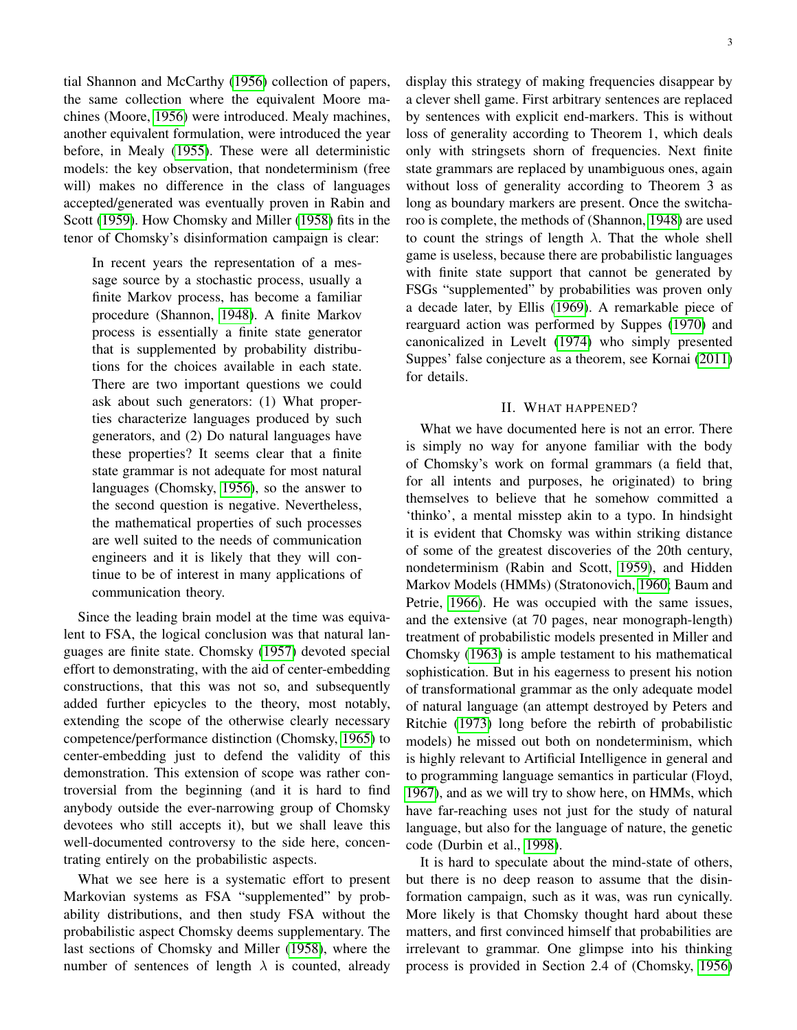tial Shannon and McCarthy [\(1956\)](#page-4-4) collection of papers, the same collection where the equivalent Moore machines (Moore, [1956\)](#page-4-5) were introduced. Mealy machines, another equivalent formulation, were introduced the year before, in Mealy [\(1955\)](#page-4-6). These were all deterministic models: the key observation, that nondeterminism (free will) makes no difference in the class of languages accepted/generated was eventually proven in Rabin and Scott [\(1959\)](#page-4-7). How Chomsky and Miller [\(1958\)](#page-3-10) fits in the tenor of Chomsky's disinformation campaign is clear:

In recent years the representation of a message source by a stochastic process, usually a finite Markov process, has become a familiar procedure (Shannon, [1948\)](#page-4-0). A finite Markov process is essentially a finite state generator that is supplemented by probability distributions for the choices available in each state. There are two important questions we could ask about such generators: (1) What properties characterize languages produced by such generators, and (2) Do natural languages have these properties? It seems clear that a finite state grammar is not adequate for most natural languages (Chomsky, [1956\)](#page-3-2), so the answer to the second question is negative. Nevertheless, the mathematical properties of such processes are well suited to the needs of communication engineers and it is likely that they will continue to be of interest in many applications of communication theory.

Since the leading brain model at the time was equivalent to FSA, the logical conclusion was that natural languages are finite state. Chomsky [\(1957\)](#page-3-12) devoted special effort to demonstrating, with the aid of center-embedding constructions, that this was not so, and subsequently added further epicycles to the theory, most notably, extending the scope of the otherwise clearly necessary competence/performance distinction (Chomsky, [1965\)](#page-3-13) to center-embedding just to defend the validity of this demonstration. This extension of scope was rather controversial from the beginning (and it is hard to find anybody outside the ever-narrowing group of Chomsky devotees who still accepts it), but we shall leave this well-documented controversy to the side here, concentrating entirely on the probabilistic aspects.

What we see here is a systematic effort to present Markovian systems as FSA "supplemented" by probability distributions, and then study FSA without the probabilistic aspect Chomsky deems supplementary. The last sections of Chomsky and Miller [\(1958\)](#page-3-10), where the number of sentences of length  $\lambda$  is counted, already display this strategy of making frequencies disappear by a clever shell game. First arbitrary sentences are replaced by sentences with explicit end-markers. This is without loss of generality according to Theorem 1, which deals only with stringsets shorn of frequencies. Next finite state grammars are replaced by unambiguous ones, again without loss of generality according to Theorem 3 as long as boundary markers are present. Once the switcharoo is complete, the methods of (Shannon, [1948\)](#page-4-0) are used to count the strings of length  $\lambda$ . That the whole shell game is useless, because there are probabilistic languages with finite state support that cannot be generated by FSGs "supplemented" by probabilities was proven only a decade later, by Ellis [\(1969\)](#page-3-14). A remarkable piece of rearguard action was performed by Suppes [\(1970\)](#page-4-8) and canonicalized in Levelt [\(1974\)](#page-4-9) who simply presented Suppes' false conjecture as a theorem, see Kornai [\(2011\)](#page-4-10) for details.

## II. WHAT HAPPENED?

What we have documented here is not an error. There is simply no way for anyone familiar with the body of Chomsky's work on formal grammars (a field that, for all intents and purposes, he originated) to bring themselves to believe that he somehow committed a 'thinko', a mental misstep akin to a typo. In hindsight it is evident that Chomsky was within striking distance of some of the greatest discoveries of the 20th century, nondeterminism (Rabin and Scott, [1959\)](#page-4-7), and Hidden Markov Models (HMMs) (Stratonovich, [1960;](#page-4-11) Baum and Petrie, [1966\)](#page-3-15). He was occupied with the same issues, and the extensive (at 70 pages, near monograph-length) treatment of probabilistic models presented in Miller and Chomsky [\(1963\)](#page-4-12) is ample testament to his mathematical sophistication. But in his eagerness to present his notion of transformational grammar as the only adequate model of natural language (an attempt destroyed by Peters and Ritchie [\(1973\)](#page-4-13) long before the rebirth of probabilistic models) he missed out both on nondeterminism, which is highly relevant to Artificial Intelligence in general and to programming language semantics in particular (Floyd, [1967\)](#page-3-16), and as we will try to show here, on HMMs, which have far-reaching uses not just for the study of natural language, but also for the language of nature, the genetic code (Durbin et al., [1998\)](#page-3-17).

It is hard to speculate about the mind-state of others, but there is no deep reason to assume that the disinformation campaign, such as it was, was run cynically. More likely is that Chomsky thought hard about these matters, and first convinced himself that probabilities are irrelevant to grammar. One glimpse into his thinking process is provided in Section 2.4 of (Chomsky, [1956\)](#page-3-2)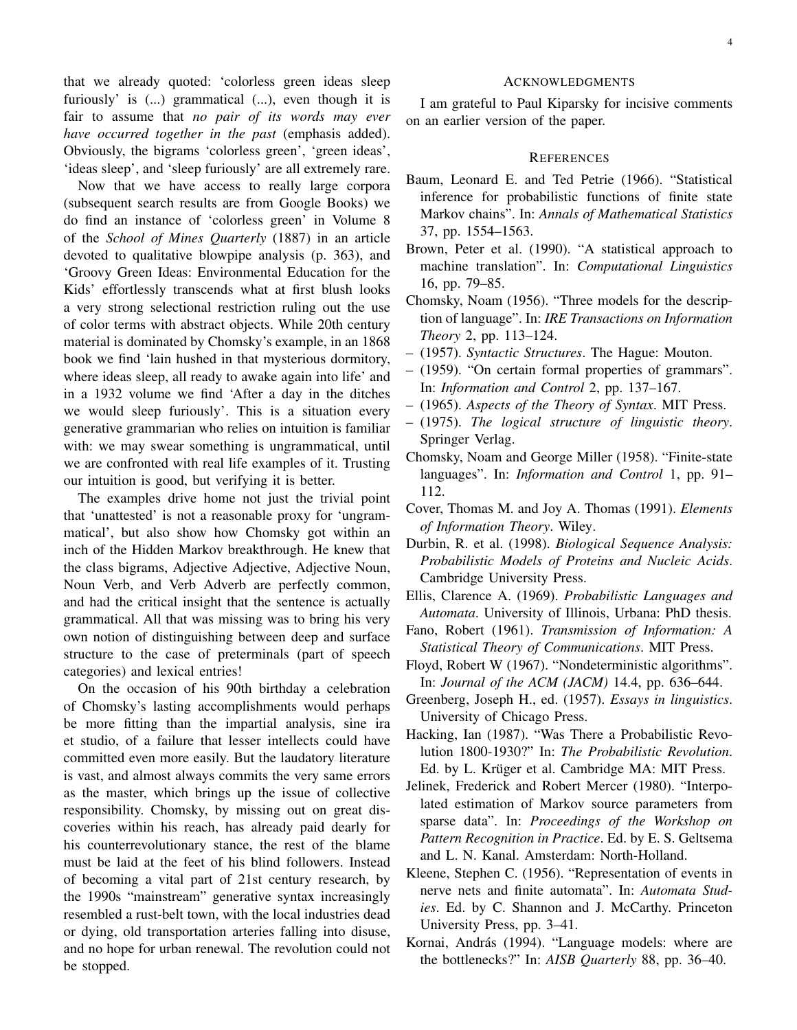that we already quoted: 'colorless green ideas sleep furiously' is (...) grammatical (...), even though it is fair to assume that *no pair of its words may ever have occurred together in the past* (emphasis added). Obviously, the bigrams 'colorless green', 'green ideas', 'ideas sleep', and 'sleep furiously' are all extremely rare.

Now that we have access to really large corpora (subsequent search results are from Google Books) we do find an instance of 'colorless green' in Volume 8 of the *School of Mines Quarterly* (1887) in an article devoted to qualitative blowpipe analysis (p. 363), and 'Groovy Green Ideas: Environmental Education for the Kids' effortlessly transcends what at first blush looks a very strong selectional restriction ruling out the use of color terms with abstract objects. While 20th century material is dominated by Chomsky's example, in an 1868 book we find 'lain hushed in that mysterious dormitory, where ideas sleep, all ready to awake again into life' and in a 1932 volume we find 'After a day in the ditches we would sleep furiously'. This is a situation every generative grammarian who relies on intuition is familiar with: we may swear something is ungrammatical, until we are confronted with real life examples of it. Trusting our intuition is good, but verifying it is better.

The examples drive home not just the trivial point that 'unattested' is not a reasonable proxy for 'ungrammatical', but also show how Chomsky got within an inch of the Hidden Markov breakthrough. He knew that the class bigrams, Adjective Adjective, Adjective Noun, Noun Verb, and Verb Adverb are perfectly common, and had the critical insight that the sentence is actually grammatical. All that was missing was to bring his very own notion of distinguishing between deep and surface structure to the case of preterminals (part of speech categories) and lexical entries!

On the occasion of his 90th birthday a celebration of Chomsky's lasting accomplishments would perhaps be more fitting than the impartial analysis, sine ira et studio, of a failure that lesser intellects could have committed even more easily. But the laudatory literature is vast, and almost always commits the very same errors as the master, which brings up the issue of collective responsibility. Chomsky, by missing out on great discoveries within his reach, has already paid dearly for his counterrevolutionary stance, the rest of the blame must be laid at the feet of his blind followers. Instead of becoming a vital part of 21st century research, by the 1990s "mainstream" generative syntax increasingly resembled a rust-belt town, with the local industries dead or dying, old transportation arteries falling into disuse, and no hope for urban renewal. The revolution could not be stopped.

## ACKNOWLEDGMENTS

I am grateful to Paul Kiparsky for incisive comments on an earlier version of the paper.

### **REFERENCES**

- <span id="page-3-15"></span>Baum, Leonard E. and Ted Petrie (1966). "Statistical inference for probabilistic functions of finite state Markov chains". In: *Annals of Mathematical Statistics* 37, pp. 1554–1563.
- <span id="page-3-9"></span>Brown, Peter et al. (1990). "A statistical approach to machine translation". In: *Computational Linguistics* 16, pp. 79–85.
- <span id="page-3-2"></span>Chomsky, Noam (1956). "Three models for the description of language". In: *IRE Transactions on Information Theory* 2, pp. 113–124.
- <span id="page-3-12"></span>– (1957). *Syntactic Structures*. The Hague: Mouton.
- <span id="page-3-6"></span>– (1959). "On certain formal properties of grammars". In: *Information and Control* 2, pp. 137–167.
- <span id="page-3-13"></span>– (1965). *Aspects of the Theory of Syntax*. MIT Press.
- <span id="page-3-1"></span>– (1975). *The logical structure of linguistic theory*. Springer Verlag.
- <span id="page-3-10"></span>Chomsky, Noam and George Miller (1958). "Finite-state languages". In: *Information and Control* 1, pp. 91– 112.
- <span id="page-3-4"></span>Cover, Thomas M. and Joy A. Thomas (1991). *Elements of Information Theory*. Wiley.
- <span id="page-3-17"></span>Durbin, R. et al. (1998). *Biological Sequence Analysis: Probabilistic Models of Proteins and Nucleic Acids*. Cambridge University Press.
- <span id="page-3-14"></span>Ellis, Clarence A. (1969). *Probabilistic Languages and Automata*. University of Illinois, Urbana: PhD thesis.
- <span id="page-3-3"></span>Fano, Robert (1961). *Transmission of Information: A Statistical Theory of Communications*. MIT Press.
- <span id="page-3-16"></span>Floyd, Robert W (1967). "Nondeterministic algorithms". In: *Journal of the ACM (JACM)* 14.4, pp. 636–644.
- <span id="page-3-5"></span>Greenberg, Joseph H., ed. (1957). *Essays in linguistics*. University of Chicago Press.
- <span id="page-3-0"></span>Hacking, Ian (1987). "Was There a Probabilistic Revolution 1800-1930?" In: *The Probabilistic Revolution*. Ed. by L. Krüger et al. Cambridge MA: MIT Press.
- <span id="page-3-7"></span>Jelinek, Frederick and Robert Mercer (1980). "Interpolated estimation of Markov source parameters from sparse data". In: *Proceedings of the Workshop on Pattern Recognition in Practice*. Ed. by E. S. Geltsema and L. N. Kanal. Amsterdam: North-Holland.
- <span id="page-3-11"></span>Kleene, Stephen C. (1956). "Representation of events in nerve nets and finite automata". In: *Automata Studies*. Ed. by C. Shannon and J. McCarthy. Princeton University Press, pp. 3–41.
- <span id="page-3-8"></span>Kornai, András (1994). "Language models: where are the bottlenecks?" In: *AISB Quarterly* 88, pp. 36–40.